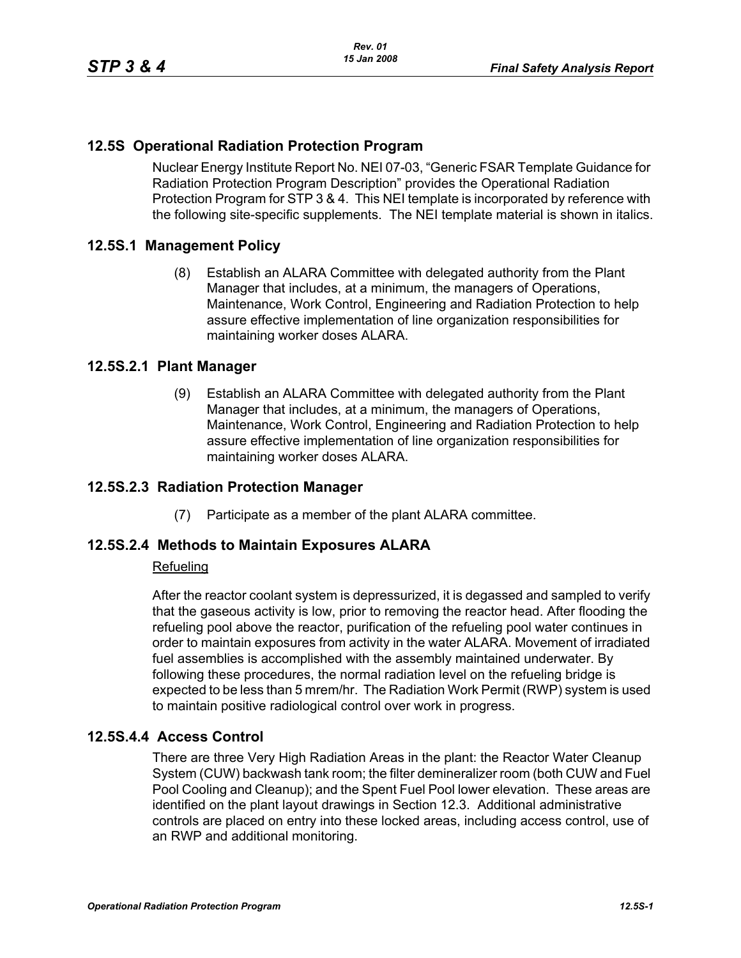# **12.5S Operational Radiation Protection Program**

Nuclear Energy Institute Report No. NEI 07-03, "Generic FSAR Template Guidance for Radiation Protection Program Description" provides the Operational Radiation Protection Program for STP 3 & 4. This NEI template is incorporated by reference with the following site-specific supplements. The NEI template material is shown in italics.

### **12.5S.1 Management Policy**

(8) Establish an ALARA Committee with delegated authority from the Plant Manager that includes, at a minimum, the managers of Operations, Maintenance, Work Control, Engineering and Radiation Protection to help assure effective implementation of line organization responsibilities for maintaining worker doses ALARA.

#### **12.5S.2.1 Plant Manager**

(9) Establish an ALARA Committee with delegated authority from the Plant Manager that includes, at a minimum, the managers of Operations, Maintenance, Work Control, Engineering and Radiation Protection to help assure effective implementation of line organization responsibilities for maintaining worker doses ALARA.

#### **12.5S.2.3 Radiation Protection Manager**

(7) Participate as a member of the plant ALARA committee.

#### **12.5S.2.4 Methods to Maintain Exposures ALARA**

#### Refueling

After the reactor coolant system is depressurized, it is degassed and sampled to verify that the gaseous activity is low, prior to removing the reactor head. After flooding the refueling pool above the reactor, purification of the refueling pool water continues in order to maintain exposures from activity in the water ALARA. Movement of irradiated fuel assemblies is accomplished with the assembly maintained underwater. By following these procedures, the normal radiation level on the refueling bridge is expected to be less than 5 mrem/hr. The Radiation Work Permit (RWP) system is used to maintain positive radiological control over work in progress.

### **12.5S.4.4 Access Control**

There are three Very High Radiation Areas in the plant: the Reactor Water Cleanup System (CUW) backwash tank room; the filter demineralizer room (both CUW and Fuel Pool Cooling and Cleanup); and the Spent Fuel Pool lower elevation. These areas are identified on the plant layout drawings in Section 12.3. Additional administrative controls are placed on entry into these locked areas, including access control, use of an RWP and additional monitoring.